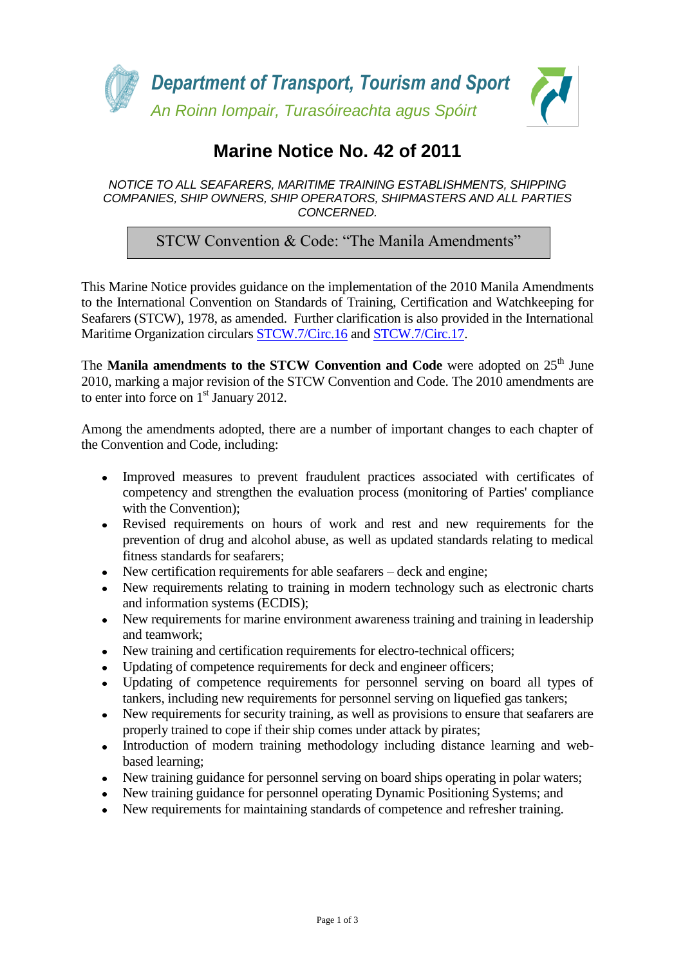

# **Marine Notice No. 42 of 2011**

#### *NOTICE TO ALL SEAFARERS, MARITIME TRAINING ESTABLISHMENTS, SHIPPING COMPANIES, SHIP OWNERS, SHIP OPERATORS, SHIPMASTERS AND ALL PARTIES CONCERNED.*

STCW Convention & Code: "The Manila Amendments"

This Marine Notice provides guidance on the implementation of the 2010 Manila Amendments to the International Convention on Standards of Training, Certification and Watchkeeping for Seafarers (STCW), 1978, as amended. Further clarification is also provided in the International Maritime Organization circulars [STCW.7/Circ.16](http://www.transport.ie/viewitem.asp?id=13321&lang=ENG&loc=2239) and [STCW.7/Circ.17.](http://www.transport.ie/viewitem.asp?id=13322&lang=ENG&loc=2239)

The **Manila amendments to the STCW Convention and Code** were adopted on 25<sup>th</sup> June 2010, marking a major revision of the STCW Convention and Code. The 2010 amendments are to enter into force on  $1<sup>st</sup>$  January 2012.

Among the amendments adopted, there are a number of important changes to each chapter of the Convention and Code, including:

- Improved measures to prevent fraudulent practices associated with certificates of competency and strengthen the evaluation process (monitoring of Parties' compliance with the Convention);
- Revised requirements on hours of work and rest and new requirements for the prevention of drug and alcohol abuse, as well as updated standards relating to medical fitness standards for seafarers;
- New certification requirements for able seafarers deck and engine;
- New requirements relating to training in modern technology such as electronic charts and information systems (ECDIS);
- New requirements for marine environment awareness training and training in leadership and teamwork;
- New training and certification requirements for electro-technical officers;
- Updating of competence requirements for deck and engineer officers;
- Updating of competence requirements for personnel serving on board all types of tankers, including new requirements for personnel serving on liquefied gas tankers;
- New requirements for security training, as well as provisions to ensure that seafarers are properly trained to cope if their ship comes under attack by pirates;
- Introduction of modern training methodology including distance learning and webbased learning;
- New training guidance for personnel serving on board ships operating in polar waters;
- New training guidance for personnel operating Dynamic Positioning Systems; and
- New requirements for maintaining standards of competence and refresher training.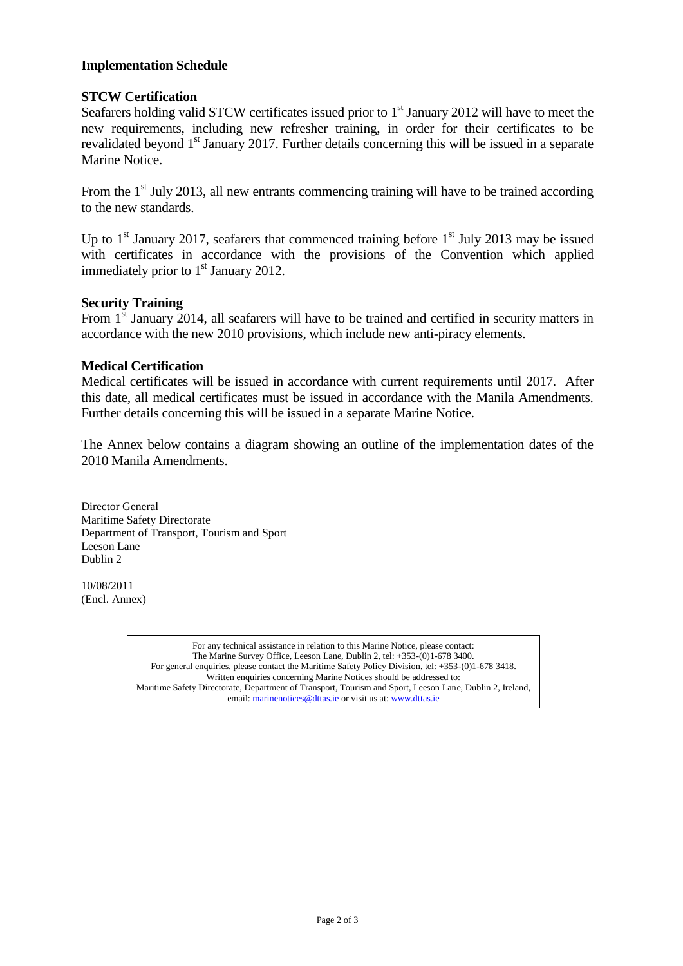## **Implementation Schedule**

## **STCW Certification**

Seafarers holding valid STCW certificates issued prior to  $1<sup>st</sup>$  January 2012 will have to meet the new requirements, including new refresher training, in order for their certificates to be revalidated beyond 1<sup>st</sup> January 2017. Further details concerning this will be issued in a separate Marine Notice.

From the  $1<sup>st</sup>$  July 2013, all new entrants commencing training will have to be trained according to the new standards.

Up to  $1<sup>st</sup>$  January 2017, seafarers that commenced training before  $1<sup>st</sup>$  July 2013 may be issued with certificates in accordance with the provisions of the Convention which applied immediately prior to  $1<sup>st</sup>$  January 2012.

#### **Security Training**

From 1<sup>st</sup> January 2014, all seafarers will have to be trained and certified in security matters in accordance with the new 2010 provisions, which include new anti-piracy elements.

#### **Medical Certification**

Medical certificates will be issued in accordance with current requirements until 2017. After this date, all medical certificates must be issued in accordance with the Manila Amendments. Further details concerning this will be issued in a separate Marine Notice.

The Annex below contains a diagram showing an outline of the implementation dates of the 2010 Manila Amendments.

Director General Maritime Safety Directorate Department of Transport, Tourism and Sport Leeson Lane Dublin 2

10/08/2011 (Encl. Annex)

> For any technical assistance in relation to this Marine Notice, please contact: The Marine Survey Office, Leeson Lane, Dublin 2, tel: +353-(0)1-678 3400. For general enquiries, please contact the Maritime Safety Policy Division, tel: +353-(0)1-678 3418. Written enquiries concerning Marine Notices should be addressed to: Maritime Safety Directorate, Department of Transport, Tourism and Sport, Leeson Lane, Dublin 2, Ireland, email: marinenotices@dttas.ie or visit us at[: www.dttas.ie](http://www.dttas.ie/)